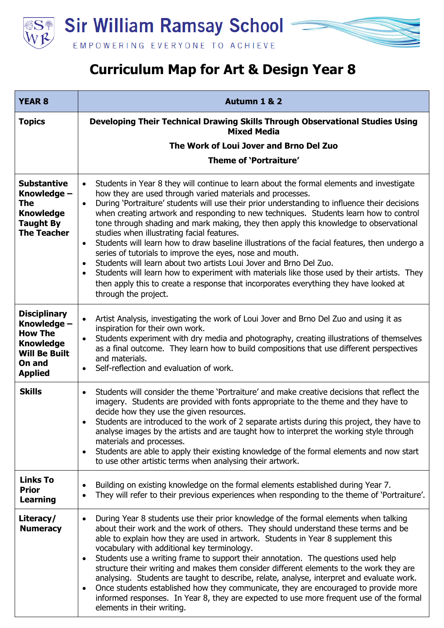



| <b>YEAR 8</b>                                                                                                                | Autumn 1 & 2                                                                                                                                                                                                                                                                                                                                                                                                                                                                                                                                                                                                                                                                                                                                                                                                                                                                                                                                                                                               |
|------------------------------------------------------------------------------------------------------------------------------|------------------------------------------------------------------------------------------------------------------------------------------------------------------------------------------------------------------------------------------------------------------------------------------------------------------------------------------------------------------------------------------------------------------------------------------------------------------------------------------------------------------------------------------------------------------------------------------------------------------------------------------------------------------------------------------------------------------------------------------------------------------------------------------------------------------------------------------------------------------------------------------------------------------------------------------------------------------------------------------------------------|
| <b>Topics</b>                                                                                                                | Developing Their Technical Drawing Skills Through Observational Studies Using<br><b>Mixed Media</b>                                                                                                                                                                                                                                                                                                                                                                                                                                                                                                                                                                                                                                                                                                                                                                                                                                                                                                        |
|                                                                                                                              | The Work of Loui Jover and Brno Del Zuo                                                                                                                                                                                                                                                                                                                                                                                                                                                                                                                                                                                                                                                                                                                                                                                                                                                                                                                                                                    |
|                                                                                                                              | Theme of 'Portraiture'                                                                                                                                                                                                                                                                                                                                                                                                                                                                                                                                                                                                                                                                                                                                                                                                                                                                                                                                                                                     |
| <b>Substantive</b><br>Knowledge -<br>The<br><b>Knowledge</b><br><b>Taught By</b><br><b>The Teacher</b>                       | Students in Year 8 they will continue to learn about the formal elements and investigate<br>$\bullet$<br>how they are used through varied materials and processes.<br>During 'Portraiture' students will use their prior understanding to influence their decisions<br>$\bullet$<br>when creating artwork and responding to new techniques. Students learn how to control<br>tone through shading and mark making, they then apply this knowledge to observational<br>studies when illustrating facial features.<br>Students will learn how to draw baseline illustrations of the facial features, then undergo a<br>$\bullet$<br>series of tutorials to improve the eyes, nose and mouth.<br>Students will learn about two artists Loui Jover and Brno Del Zuo.<br>$\bullet$<br>Students will learn how to experiment with materials like those used by their artists. They<br>$\bullet$<br>then apply this to create a response that incorporates everything they have looked at<br>through the project. |
| <b>Disciplinary</b><br>Knowledge -<br><b>How The</b><br><b>Knowledge</b><br><b>Will Be Built</b><br>On and<br><b>Applied</b> | Artist Analysis, investigating the work of Loui Jover and Brno Del Zuo and using it as<br>$\bullet$<br>inspiration for their own work.<br>Students experiment with dry media and photography, creating illustrations of themselves<br>$\bullet$<br>as a final outcome. They learn how to build compositions that use different perspectives<br>and materials.<br>Self-reflection and evaluation of work.<br>$\bullet$                                                                                                                                                                                                                                                                                                                                                                                                                                                                                                                                                                                      |
| <b>Skills</b>                                                                                                                | Students will consider the theme 'Portraiture' and make creative decisions that reflect the<br>$\bullet$<br>imagery. Students are provided with fonts appropriate to the theme and they have to<br>decide how they use the given resources.<br>Students are introduced to the work of 2 separate artists during this project, they have to<br>٠<br>analyse images by the artists and are taught how to interpret the working style through<br>materials and processes.<br>Students are able to apply their existing knowledge of the formal elements and now start<br>$\bullet$<br>to use other artistic terms when analysing their artwork.                                                                                                                                                                                                                                                                                                                                                               |
| <b>Links To</b><br><b>Prior</b><br><b>Learning</b>                                                                           | Building on existing knowledge on the formal elements established during Year 7.<br>٠<br>They will refer to their previous experiences when responding to the theme of 'Portraiture'.<br>$\bullet$                                                                                                                                                                                                                                                                                                                                                                                                                                                                                                                                                                                                                                                                                                                                                                                                         |
| Literacy/<br><b>Numeracy</b>                                                                                                 | During Year 8 students use their prior knowledge of the formal elements when talking<br>$\bullet$<br>about their work and the work of others. They should understand these terms and be<br>able to explain how they are used in artwork. Students in Year 8 supplement this<br>vocabulary with additional key terminology.<br>Students use a writing frame to support their annotation. The questions used help<br>$\bullet$<br>structure their writing and makes them consider different elements to the work they are<br>analysing. Students are taught to describe, relate, analyse, interpret and evaluate work.<br>Once students established how they communicate, they are encouraged to provide more<br>$\bullet$<br>informed responses. In Year 8, they are expected to use more frequent use of the formal<br>elements in their writing.                                                                                                                                                          |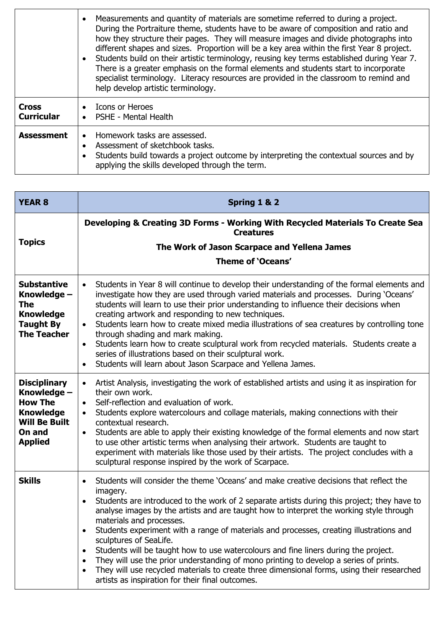|                                   | Measurements and quantity of materials are sometime referred to during a project.<br>$\bullet$<br>During the Portraiture theme, students have to be aware of composition and ratio and<br>how they structure their pages. They will measure images and divide photographs into<br>different shapes and sizes. Proportion will be a key area within the first Year 8 project.<br>Students build on their artistic terminology, reusing key terms established during Year 7.<br>There is a greater emphasis on the formal elements and students start to incorporate<br>specialist terminology. Literacy resources are provided in the classroom to remind and<br>help develop artistic terminology. |
|-----------------------------------|----------------------------------------------------------------------------------------------------------------------------------------------------------------------------------------------------------------------------------------------------------------------------------------------------------------------------------------------------------------------------------------------------------------------------------------------------------------------------------------------------------------------------------------------------------------------------------------------------------------------------------------------------------------------------------------------------|
| <b>Cross</b><br><b>Curricular</b> | <b>Icons or Heroes</b><br><b>PSHE - Mental Health</b>                                                                                                                                                                                                                                                                                                                                                                                                                                                                                                                                                                                                                                              |
| <b>Assessment</b>                 | Homework tasks are assessed.<br>$\bullet$<br>Assessment of sketchbook tasks.<br>$\bullet$<br>Students build towards a project outcome by interpreting the contextual sources and by<br>applying the skills developed through the term.                                                                                                                                                                                                                                                                                                                                                                                                                                                             |

| <b>YEAR 8</b>                                                                                                                | Spring 1 & 2                                                                                                                                                                                                                                                                                                                                                                                                                                                                                                                                                                                                                                                                                                                                                                                                                                                  |
|------------------------------------------------------------------------------------------------------------------------------|---------------------------------------------------------------------------------------------------------------------------------------------------------------------------------------------------------------------------------------------------------------------------------------------------------------------------------------------------------------------------------------------------------------------------------------------------------------------------------------------------------------------------------------------------------------------------------------------------------------------------------------------------------------------------------------------------------------------------------------------------------------------------------------------------------------------------------------------------------------|
| <b>Topics</b>                                                                                                                | Developing & Creating 3D Forms - Working With Recycled Materials To Create Sea<br><b>Creatures</b>                                                                                                                                                                                                                                                                                                                                                                                                                                                                                                                                                                                                                                                                                                                                                            |
|                                                                                                                              | The Work of Jason Scarpace and Yellena James<br>Theme of 'Oceans'                                                                                                                                                                                                                                                                                                                                                                                                                                                                                                                                                                                                                                                                                                                                                                                             |
| <b>Substantive</b><br>Knowledge -<br>The<br><b>Knowledge</b><br><b>Taught By</b><br><b>The Teacher</b>                       | Students in Year 8 will continue to develop their understanding of the formal elements and<br>$\bullet$<br>investigate how they are used through varied materials and processes. During 'Oceans'<br>students will learn to use their prior understanding to influence their decisions when<br>creating artwork and responding to new techniques.<br>Students learn how to create mixed media illustrations of sea creatures by controlling tone<br>$\bullet$<br>through shading and mark making.<br>Students learn how to create sculptural work from recycled materials. Students create a<br>$\bullet$<br>series of illustrations based on their sculptural work.<br>Students will learn about Jason Scarpace and Yellena James.<br>$\bullet$                                                                                                               |
| <b>Disciplinary</b><br>Knowledge -<br><b>How The</b><br><b>Knowledge</b><br><b>Will Be Built</b><br>On and<br><b>Applied</b> | Artist Analysis, investigating the work of established artists and using it as inspiration for<br>$\bullet$<br>their own work.<br>Self-reflection and evaluation of work.<br>$\bullet$<br>Students explore watercolours and collage materials, making connections with their<br>$\bullet$<br>contextual research.<br>Students are able to apply their existing knowledge of the formal elements and now start<br>$\bullet$<br>to use other artistic terms when analysing their artwork. Students are taught to<br>experiment with materials like those used by their artists. The project concludes with a<br>sculptural response inspired by the work of Scarpace.                                                                                                                                                                                           |
| <b>Skills</b>                                                                                                                | Students will consider the theme 'Oceans' and make creative decisions that reflect the<br>$\bullet$<br>imagery.<br>Students are introduced to the work of 2 separate artists during this project; they have to<br>$\bullet$<br>analyse images by the artists and are taught how to interpret the working style through<br>materials and processes.<br>Students experiment with a range of materials and processes, creating illustrations and<br>$\bullet$<br>sculptures of SeaLife.<br>Students will be taught how to use watercolours and fine liners during the project.<br>$\bullet$<br>They will use the prior understanding of mono printing to develop a series of prints.<br>$\bullet$<br>They will use recycled materials to create three dimensional forms, using their researched<br>$\bullet$<br>artists as inspiration for their final outcomes. |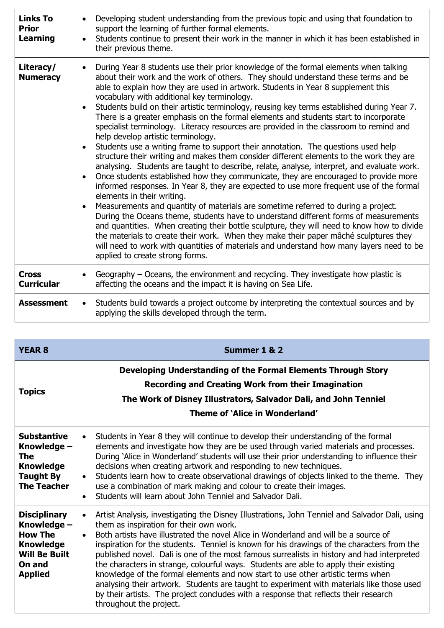| <b>Links To</b><br><b>Prior</b><br>Learning | Developing student understanding from the previous topic and using that foundation to<br>$\bullet$<br>support the learning of further formal elements.<br>Students continue to present their work in the manner in which it has been established in<br>$\bullet$<br>their previous theme.                                                                                                                                                                                                                                                                                                                                                                                                                                                                                                                                                                                                                                                                                                                                                                                                                                                                                                                                                                                                                                                                                                                                                                                                                                                                                                                                                                                                            |
|---------------------------------------------|------------------------------------------------------------------------------------------------------------------------------------------------------------------------------------------------------------------------------------------------------------------------------------------------------------------------------------------------------------------------------------------------------------------------------------------------------------------------------------------------------------------------------------------------------------------------------------------------------------------------------------------------------------------------------------------------------------------------------------------------------------------------------------------------------------------------------------------------------------------------------------------------------------------------------------------------------------------------------------------------------------------------------------------------------------------------------------------------------------------------------------------------------------------------------------------------------------------------------------------------------------------------------------------------------------------------------------------------------------------------------------------------------------------------------------------------------------------------------------------------------------------------------------------------------------------------------------------------------------------------------------------------------------------------------------------------------|
| Literacy/<br><b>Numeracy</b>                | During Year 8 students use their prior knowledge of the formal elements when talking<br>$\bullet$<br>about their work and the work of others. They should understand these terms and be<br>able to explain how they are used in artwork. Students in Year 8 supplement this<br>vocabulary with additional key terminology.<br>Students build on their artistic terminology, reusing key terms established during Year 7.<br>$\bullet$<br>There is a greater emphasis on the formal elements and students start to incorporate<br>specialist terminology. Literacy resources are provided in the classroom to remind and<br>help develop artistic terminology.<br>Students use a writing frame to support their annotation. The questions used help<br>$\bullet$<br>structure their writing and makes them consider different elements to the work they are<br>analysing. Students are taught to describe, relate, analyse, interpret, and evaluate work.<br>Once students established how they communicate, they are encouraged to provide more<br>$\bullet$<br>informed responses. In Year 8, they are expected to use more frequent use of the formal<br>elements in their writing.<br>Measurements and quantity of materials are sometime referred to during a project.<br>$\bullet$<br>During the Oceans theme, students have to understand different forms of measurements<br>and quantities. When creating their bottle sculpture, they will need to know how to divide<br>the materials to create their work. When they make their paper mâché sculptures they<br>will need to work with quantities of materials and understand how many layers need to be<br>applied to create strong forms. |
| <b>Cross</b><br><b>Curricular</b>           | Geography - Oceans, the environment and recycling. They investigate how plastic is<br>$\bullet$<br>affecting the oceans and the impact it is having on Sea Life.                                                                                                                                                                                                                                                                                                                                                                                                                                                                                                                                                                                                                                                                                                                                                                                                                                                                                                                                                                                                                                                                                                                                                                                                                                                                                                                                                                                                                                                                                                                                     |
| <b>Assessment</b>                           | Students build towards a project outcome by interpreting the contextual sources and by<br>$\bullet$<br>applying the skills developed through the term.                                                                                                                                                                                                                                                                                                                                                                                                                                                                                                                                                                                                                                                                                                                                                                                                                                                                                                                                                                                                                                                                                                                                                                                                                                                                                                                                                                                                                                                                                                                                               |

| <b>YEAR 8</b>                                                                                                                | Summer 1 & 2                                                                                                                                                                                                                                                                                                                                                                                                                                                                                                                                                                                                                                                                                                                                                                                                                                      |
|------------------------------------------------------------------------------------------------------------------------------|---------------------------------------------------------------------------------------------------------------------------------------------------------------------------------------------------------------------------------------------------------------------------------------------------------------------------------------------------------------------------------------------------------------------------------------------------------------------------------------------------------------------------------------------------------------------------------------------------------------------------------------------------------------------------------------------------------------------------------------------------------------------------------------------------------------------------------------------------|
| <b>Topics</b>                                                                                                                | Developing Understanding of the Formal Elements Through Story<br><b>Recording and Creating Work from their Imagination</b><br>The Work of Disney Illustrators, Salvador Dali, and John Tenniel<br>Theme of 'Alice in Wonderland'                                                                                                                                                                                                                                                                                                                                                                                                                                                                                                                                                                                                                  |
| <b>Substantive</b><br>Knowledge -<br><b>The</b><br><b>Knowledge</b><br><b>Taught By</b><br><b>The Teacher</b>                | Students in Year 8 they will continue to develop their understanding of the formal<br>$\bullet$<br>elements and investigate how they are be used through varied materials and processes.<br>During 'Alice in Wonderland' students will use their prior understanding to influence their<br>decisions when creating artwork and responding to new techniques.<br>Students learn how to create observational drawings of objects linked to the theme. They<br>$\bullet$<br>use a combination of mark making and colour to create their images.<br>Students will learn about John Tenniel and Salvador Dali.<br>$\bullet$                                                                                                                                                                                                                            |
| <b>Disciplinary</b><br>Knowledge -<br><b>How The</b><br><b>Knowledge</b><br><b>Will Be Built</b><br>On and<br><b>Applied</b> | Artist Analysis, investigating the Disney Illustrations, John Tenniel and Salvador Dali, using<br>$\bullet$<br>them as inspiration for their own work.<br>Both artists have illustrated the novel Alice in Wonderland and will be a source of<br>$\bullet$<br>inspiration for the students. Tenniel is known for his drawings of the characters from the<br>published novel. Dali is one of the most famous surrealists in history and had interpreted<br>the characters in strange, colourful ways. Students are able to apply their existing<br>knowledge of the formal elements and now start to use other artistic terms when<br>analysing their artwork. Students are taught to experiment with materials like those used<br>by their artists. The project concludes with a response that reflects their research<br>throughout the project. |